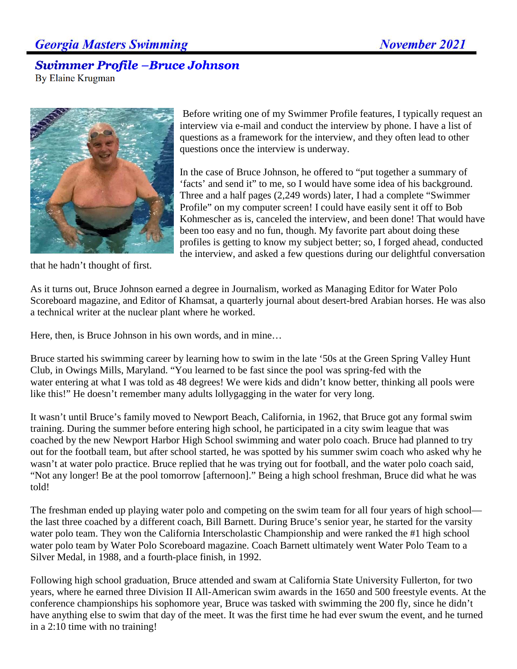## **Georgia Masters Swimming**

## **Swimmer Profile -Bruce Johnson**

By Elaine Krugman



that he hadn't thought of first.

Before writing one of my Swimmer Profile features, I typically request an interview via e-mail and conduct the interview by phone. I have a list of questions as a framework for the interview, and they often lead to other questions once the interview is underway.

In the case of Bruce Johnson, he offered to "put together a summary of 'facts' and send it" to me, so I would have some idea of his background. Three and a half pages (2,249 words) later, I had a complete "Swimmer Profile" on my computer screen! I could have easily sent it off to Bob Kohmescher as is, canceled the interview, and been done! That would have been too easy and no fun, though. My favorite part about doing these profiles is getting to know my subject better; so, I forged ahead, conducted the interview, and asked a few questions during our delightful conversation

As it turns out, Bruce Johnson earned a degree in Journalism, worked as Managing Editor for Water Polo Scoreboard magazine, and Editor of Khamsat, a quarterly journal about desert-bred Arabian horses. He was also a technical writer at the nuclear plant where he worked.

Here, then, is Bruce Johnson in his own words, and in mine…

Bruce started his swimming career by learning how to swim in the late '50s at the Green Spring Valley Hunt Club, in Owings Mills, Maryland. "You learned to be fast since the pool was spring-fed with the water entering at what I was told as 48 degrees! We were kids and didn't know better, thinking all pools were like this!" He doesn't remember many adults lollygagging in the water for very long.

It wasn't until Bruce's family moved to Newport Beach, California, in 1962, that Bruce got any formal swim training. During the summer before entering high school, he participated in a city swim league that was coached by the new Newport Harbor High School swimming and water polo coach. Bruce had planned to try out for the football team, but after school started, he was spotted by his summer swim coach who asked why he wasn't at water polo practice. Bruce replied that he was trying out for football, and the water polo coach said, "Not any longer! Be at the pool tomorrow [afternoon]." Being a high school freshman, Bruce did what he was told!

The freshman ended up playing water polo and competing on the swim team for all four years of high school the last three coached by a different coach, Bill Barnett. During Bruce's senior year, he started for the varsity water polo team. They won the California Interscholastic Championship and were ranked the #1 high school water polo team by Water Polo Scoreboard magazine. Coach Barnett ultimately went Water Polo Team to a Silver Medal, in 1988, and a fourth-place finish, in 1992.

Following high school graduation, Bruce attended and swam at California State University Fullerton, for two years, where he earned three Division II All-American swim awards in the 1650 and 500 freestyle events. At the conference championships his sophomore year, Bruce was tasked with swimming the 200 fly, since he didn't have anything else to swim that day of the meet. It was the first time he had ever swum the event, and he turned in a 2:10 time with no training!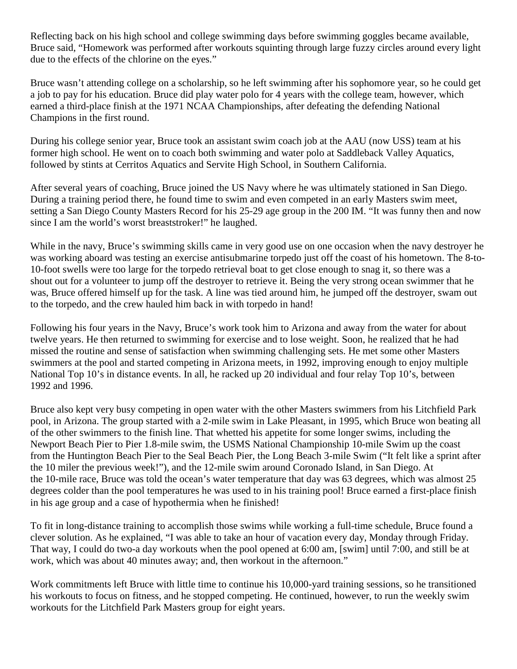Reflecting back on his high school and college swimming days before swimming goggles became available, Bruce said, "Homework was performed after workouts squinting through large fuzzy circles around every light due to the effects of the chlorine on the eyes."

Bruce wasn't attending college on a scholarship, so he left swimming after his sophomore year, so he could get a job to pay for his education. Bruce did play water polo for 4 years with the college team, however, which earned a third-place finish at the 1971 NCAA Championships, after defeating the defending National Champions in the first round.

During his college senior year, Bruce took an assistant swim coach job at the AAU (now USS) team at his former high school. He went on to coach both swimming and water polo at Saddleback Valley Aquatics, followed by stints at Cerritos Aquatics and Servite High School, in Southern California.

After several years of coaching, Bruce joined the US Navy where he was ultimately stationed in San Diego. During a training period there, he found time to swim and even competed in an early Masters swim meet, setting a San Diego County Masters Record for his 25-29 age group in the 200 IM. "It was funny then and now since I am the world's worst breaststroker!" he laughed.

While in the navy, Bruce's swimming skills came in very good use on one occasion when the navy destroyer he was working aboard was testing an exercise antisubmarine torpedo just off the coast of his hometown. The 8-to-10-foot swells were too large for the torpedo retrieval boat to get close enough to snag it, so there was a shout out for a volunteer to jump off the destroyer to retrieve it. Being the very strong ocean swimmer that he was, Bruce offered himself up for the task. A line was tied around him, he jumped off the destroyer, swam out to the torpedo, and the crew hauled him back in with torpedo in hand!

Following his four years in the Navy, Bruce's work took him to Arizona and away from the water for about twelve years. He then returned to swimming for exercise and to lose weight. Soon, he realized that he had missed the routine and sense of satisfaction when swimming challenging sets. He met some other Masters swimmers at the pool and started competing in Arizona meets, in 1992, improving enough to enjoy multiple National Top 10's in distance events. In all, he racked up 20 individual and four relay Top 10's, between 1992 and 1996.

Bruce also kept very busy competing in open water with the other Masters swimmers from his Litchfield Park pool, in Arizona. The group started with a 2-mile swim in Lake Pleasant, in 1995, which Bruce won beating all of the other swimmers to the finish line. That whetted his appetite for some longer swims, including the Newport Beach Pier to Pier 1.8-mile swim, the USMS National Championship 10-mile Swim up the coast from the Huntington Beach Pier to the Seal Beach Pier, the Long Beach 3-mile Swim ("It felt like a sprint after the 10 miler the previous week!"), and the 12-mile swim around Coronado Island, in San Diego. At the 10-mile race, Bruce was told the ocean's water temperature that day was 63 degrees, which was almost 25 degrees colder than the pool temperatures he was used to in his training pool! Bruce earned a first-place finish in his age group and a case of hypothermia when he finished!

To fit in long-distance training to accomplish those swims while working a full-time schedule, Bruce found a clever solution. As he explained, "I was able to take an hour of vacation every day, Monday through Friday. That way, I could do two-a day workouts when the pool opened at 6:00 am, [swim] until 7:00, and still be at work, which was about 40 minutes away; and, then workout in the afternoon."

Work commitments left Bruce with little time to continue his 10,000-yard training sessions, so he transitioned his workouts to focus on fitness, and he stopped competing. He continued, however, to run the weekly swim workouts for the Litchfield Park Masters group for eight years.